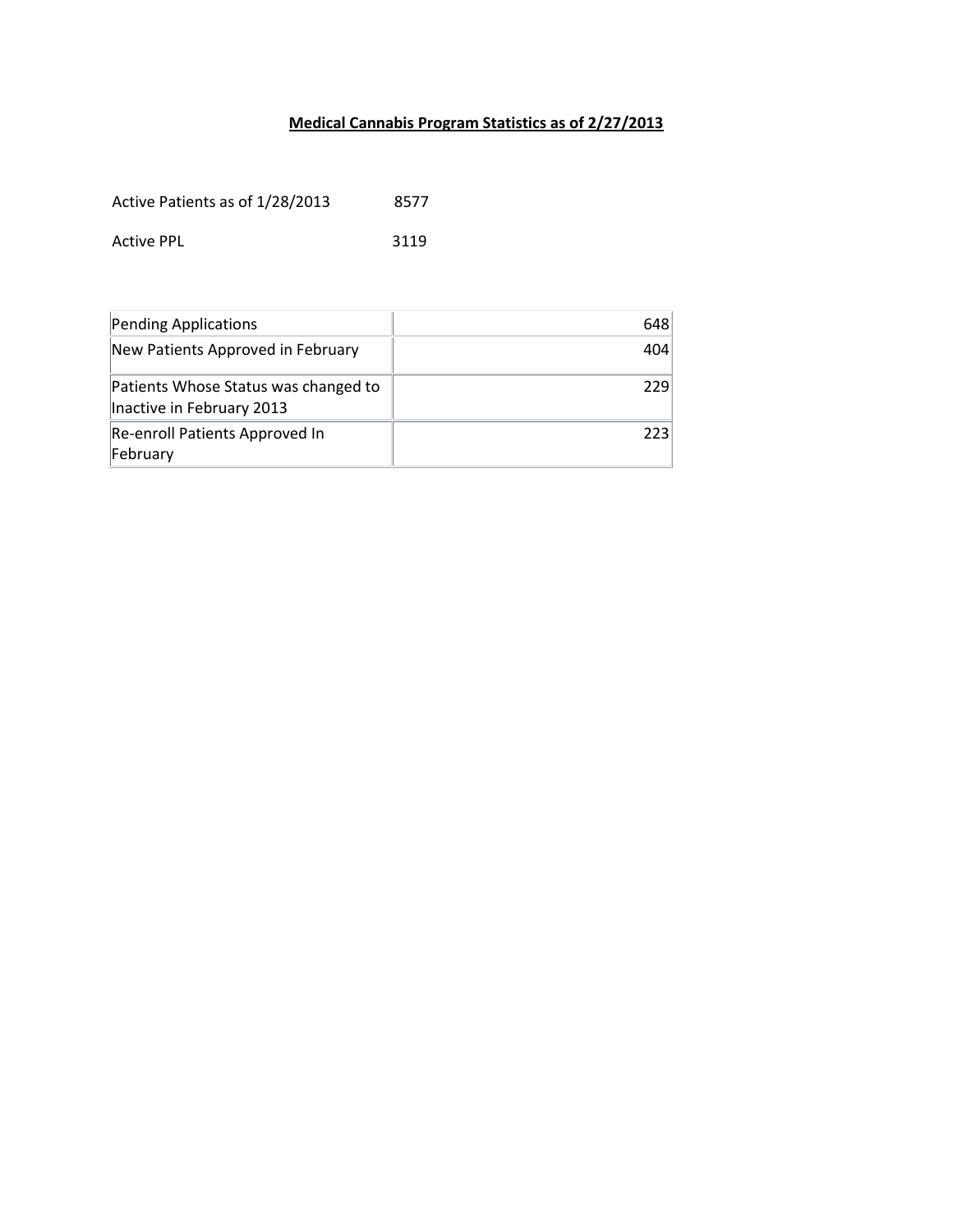## **Medical Cannabis Program Statistics as of 2/27/2013**

Active Patients as of 1/28/2013 8577

Active PPL 3119

| Pending Applications                                              | 648 |
|-------------------------------------------------------------------|-----|
| New Patients Approved in February                                 | 404 |
| Patients Whose Status was changed to<br>Inactive in February 2013 | 229 |
| Re-enroll Patients Approved In<br>February                        | 223 |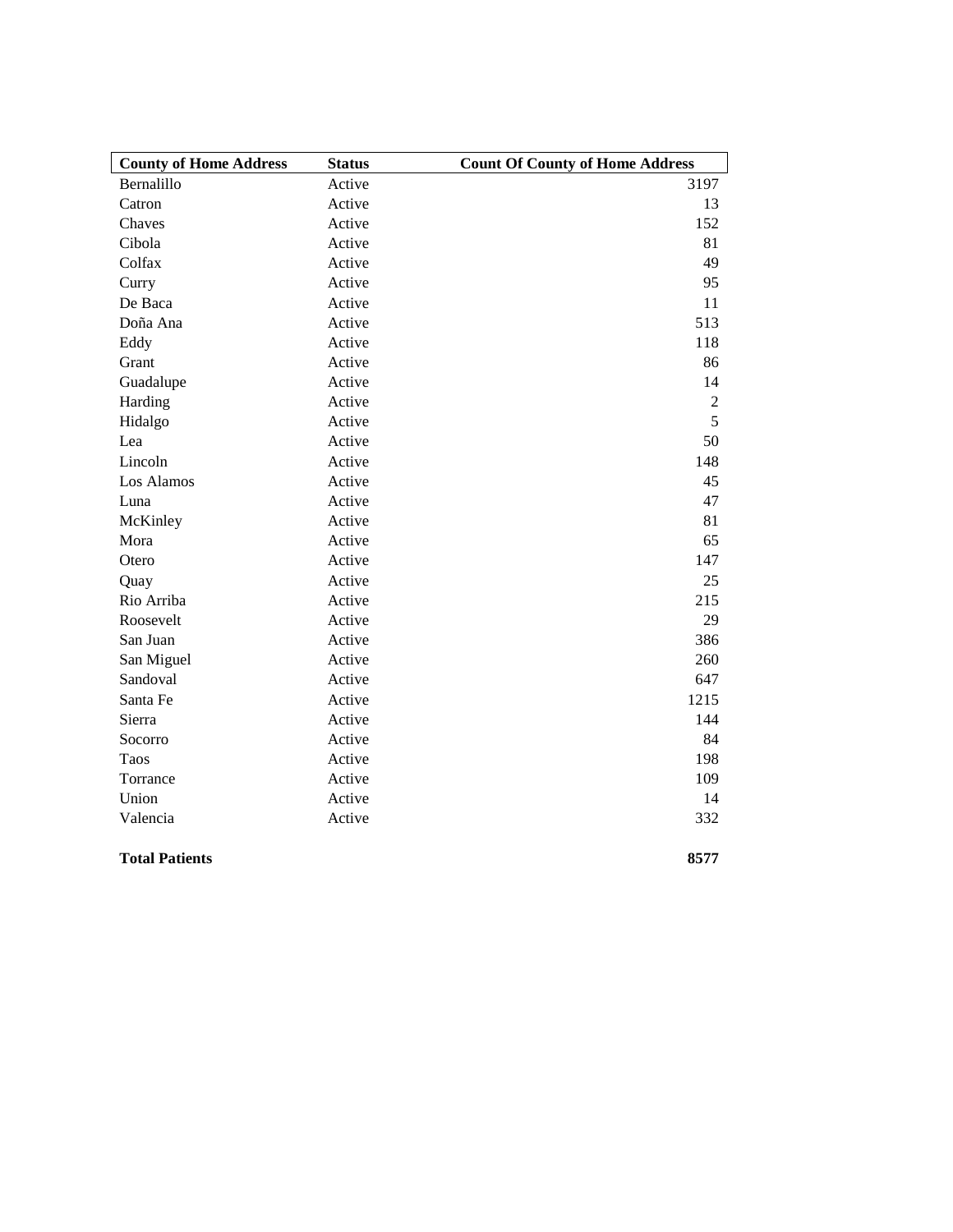| <b>County of Home Address</b> | <b>Status</b> | <b>Count Of County of Home Address</b> |
|-------------------------------|---------------|----------------------------------------|
| Bernalillo                    | Active        | 3197                                   |
| Catron                        | Active        | 13                                     |
| Chaves                        | Active        | 152                                    |
| Cibola                        | Active        | 81                                     |
| Colfax                        | Active        | 49                                     |
| Curry                         | Active        | 95                                     |
| De Baca                       | Active        | 11                                     |
| Doña Ana                      | Active        | 513                                    |
| Eddy                          | Active        | 118                                    |
| Grant                         | Active        | 86                                     |
| Guadalupe                     | Active        | 14                                     |
| Harding                       | Active        | $\overline{2}$                         |
| Hidalgo                       | Active        | 5                                      |
| Lea                           | Active        | 50                                     |
| Lincoln                       | Active        | 148                                    |
| Los Alamos                    | Active        | 45                                     |
| Luna                          | Active        | 47                                     |
| McKinley                      | Active        | 81                                     |
| Mora                          | Active        | 65                                     |
| Otero                         | Active        | 147                                    |
| Quay                          | Active        | 25                                     |
| Rio Arriba                    | Active        | 215                                    |
| Roosevelt                     | Active        | 29                                     |
| San Juan                      | Active        | 386                                    |
| San Miguel                    | Active        | 260                                    |
| Sandoval                      | Active        | 647                                    |
| Santa Fe                      | Active        | 1215                                   |
| Sierra                        | Active        | 144                                    |
| Socorro                       | Active        | 84                                     |
| Taos                          | Active        | 198                                    |
| Torrance                      | Active        | 109                                    |
| Union                         | Active        | 14                                     |
| Valencia                      | Active        | 332                                    |
| <b>Total Patients</b>         |               | 8577                                   |